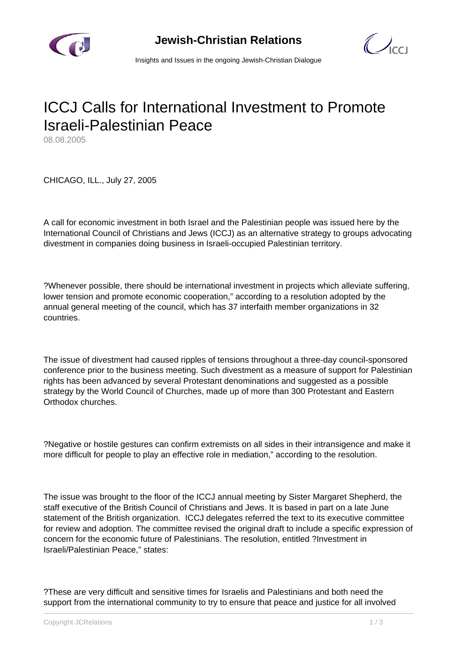

 $\bigcup_{C}$ 

Insights and Issues in the ongoing Jewish-Christian Dialogue

## ICCJ Calls for International Investment to Promote Israeli-Palestinian Peace

08.08.2005

CHICAGO, ILL., July 27, 2005

A call for economic investment in both Israel and the Palestinian people was issued here by the International Council of Christians and Jews (ICCJ) as an alternative strategy to groups advocating divestment in companies doing business in Israeli-occupied Palestinian territory.

?Whenever possible, there should be international investment in projects which alleviate suffering, lower tension and promote economic cooperation," according to a resolution adopted by the annual general meeting of the council, which has 37 interfaith member organizations in 32 countries.

The issue of divestment had caused ripples of tensions throughout a three-day council-sponsored conference prior to the business meeting. Such divestment as a measure of support for Palestinian rights has been advanced by several Protestant denominations and suggested as a possible strategy by the World Council of Churches, made up of more than 300 Protestant and Eastern Orthodox churches.

?Negative or hostile gestures can confirm extremists on all sides in their intransigence and make it more difficult for people to play an effective role in mediation," according to the resolution.

The issue was brought to the floor of the ICCJ annual meeting by Sister Margaret Shepherd, the staff executive of the British Council of Christians and Jews. It is based in part on a late June statement of the British organization. ICCJ delegates referred the text to its executive committee for review and adoption. The committee revised the original draft to include a specific expression of concern for the economic future of Palestinians. The resolution, entitled ?Investment in Israeli/Palestinian Peace," states:

?These are very difficult and sensitive times for Israelis and Palestinians and both need the support from the international community to try to ensure that peace and justice for all involved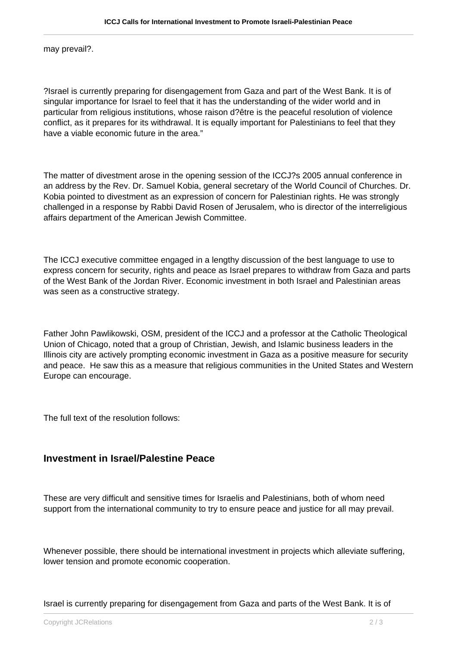may prevail?.

?Israel is currently preparing for disengagement from Gaza and part of the West Bank. It is of singular importance for Israel to feel that it has the understanding of the wider world and in particular from religious institutions, whose raison d?être is the peaceful resolution of violence conflict, as it prepares for its withdrawal. It is equally important for Palestinians to feel that they have a viable economic future in the area."

The matter of divestment arose in the opening session of the ICCJ?s 2005 annual conference in an address by the Rev. Dr. Samuel Kobia, general secretary of the World Council of Churches. Dr. Kobia pointed to divestment as an expression of concern for Palestinian rights. He was strongly challenged in a response by Rabbi David Rosen of Jerusalem, who is director of the interreligious affairs department of the American Jewish Committee.

The ICCJ executive committee engaged in a lengthy discussion of the best language to use to express concern for security, rights and peace as Israel prepares to withdraw from Gaza and parts of the West Bank of the Jordan River. Economic investment in both Israel and Palestinian areas was seen as a constructive strategy.

Father John Pawlikowski, OSM, president of the ICCJ and a professor at the Catholic Theological Union of Chicago, noted that a group of Christian, Jewish, and Islamic business leaders in the Illinois city are actively prompting economic investment in Gaza as a positive measure for security and peace. He saw this as a measure that religious communities in the United States and Western Europe can encourage.

The full text of the resolution follows:

## **Investment in Israel/Palestine Peace**

These are very difficult and sensitive times for Israelis and Palestinians, both of whom need support from the international community to try to ensure peace and justice for all may prevail.

Whenever possible, there should be international investment in projects which alleviate suffering, lower tension and promote economic cooperation.

Israel is currently preparing for disengagement from Gaza and parts of the West Bank. It is of